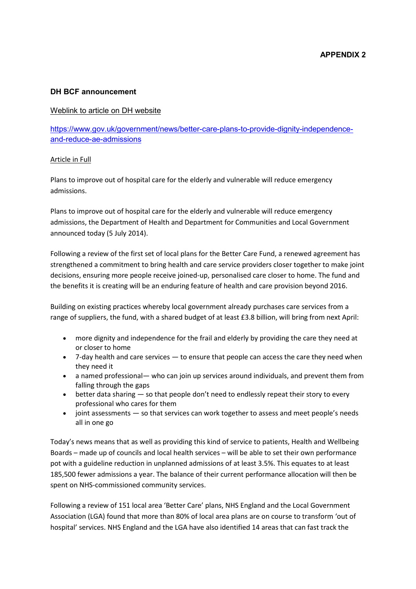### **DH BCF announcement**

### Weblink to article on DH website

https://www.gov.uk/government/news/better-care-plans-to-provide-dignity-independenceand-reduce-ae-admissions

### Article in Full

Plans to improve out of hospital care for the elderly and vulnerable will reduce emergency admissions.

Plans to improve out of hospital care for the elderly and vulnerable will reduce emergency admissions, the Department of Health and Department for Communities and Local Government announced today (5 July 2014).

Following a review of the first set of local plans for the Better Care Fund, a renewed agreement has strengthened a commitment to bring health and care service providers closer together to make joint decisions, ensuring more people receive joined-up, personalised care closer to home. The fund and the benefits it is creating will be an enduring feature of health and care provision beyond 2016.

Building on existing practices whereby local government already purchases care services from a range of suppliers, the fund, with a shared budget of at least £3.8 billion, will bring from next April:

- more dignity and independence for the frail and elderly by providing the care they need at or closer to home
- 7-day health and care services to ensure that people can access the care they need when they need it
- a named professional— who can join up services around individuals, and prevent them from falling through the gaps
- better data sharing  $-$  so that people don't need to endlessly repeat their story to every professional who cares for them
- joint assessments so that services can work together to assess and meet people's needs all in one go

Today's news means that as well as providing this kind of service to patients, Health and Wellbeing Boards – made up of councils and local health services – will be able to set their own performance pot with a guideline reduction in unplanned admissions of at least 3.5%. This equates to at least 185,500 fewer admissions a year. The balance of their current performance allocation will then be spent on NHS-commissioned community services.

Following a review of 151 local area 'Better Care' plans, NHS England and the Local Government Association (LGA) found that more than 80% of local area plans are on course to transform 'out of hospital' services. NHS England and the LGA have also identified 14 areas that can fast track the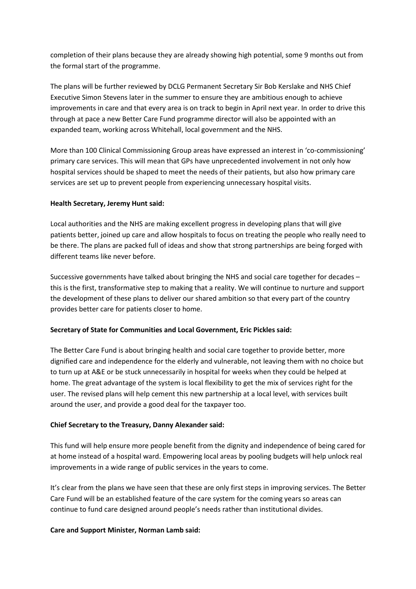completion of their plans because they are already showing high potential, some 9 months out from the formal start of the programme.

The plans will be further reviewed by DCLG Permanent Secretary Sir Bob Kerslake and NHS Chief Executive Simon Stevens later in the summer to ensure they are ambitious enough to achieve improvements in care and that every area is on track to begin in April next year. In order to drive this through at pace a new Better Care Fund programme director will also be appointed with an expanded team, working across Whitehall, local government and the NHS.

More than 100 Clinical Commissioning Group areas have expressed an interest in 'co-commissioning' primary care services. This will mean that GPs have unprecedented involvement in not only how hospital services should be shaped to meet the needs of their patients, but also how primary care services are set up to prevent people from experiencing unnecessary hospital visits.

### **Health Secretary, Jeremy Hunt said:**

Local authorities and the NHS are making excellent progress in developing plans that will give patients better, joined up care and allow hospitals to focus on treating the people who really need to be there. The plans are packed full of ideas and show that strong partnerships are being forged with different teams like never before.

Successive governments have talked about bringing the NHS and social care together for decades – this is the first, transformative step to making that a reality. We will continue to nurture and support the development of these plans to deliver our shared ambition so that every part of the country provides better care for patients closer to home.

## **Secretary of State for Communities and Local Government, Eric Pickles said:**

The Better Care Fund is about bringing health and social care together to provide better, more dignified care and independence for the elderly and vulnerable, not leaving them with no choice but to turn up at A&E or be stuck unnecessarily in hospital for weeks when they could be helped at home. The great advantage of the system is local flexibility to get the mix of services right for the user. The revised plans will help cement this new partnership at a local level, with services built around the user, and provide a good deal for the taxpayer too.

### **Chief Secretary to the Treasury, Danny Alexander said:**

This fund will help ensure more people benefit from the dignity and independence of being cared for at home instead of a hospital ward. Empowering local areas by pooling budgets will help unlock real improvements in a wide range of public services in the years to come.

It's clear from the plans we have seen that these are only first steps in improving services. The Better Care Fund will be an established feature of the care system for the coming years so areas can continue to fund care designed around people's needs rather than institutional divides.

### **Care and Support Minister, Norman Lamb said:**